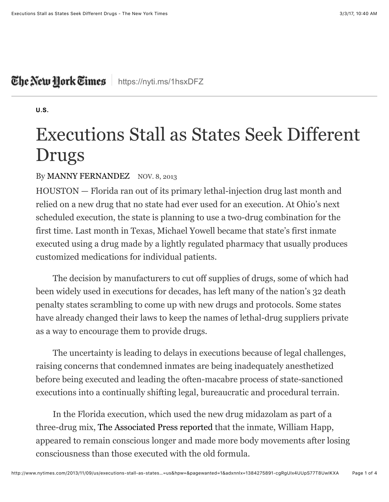## The Netu Hork Times | <https://nyti.ms/1hsxDFZ>

**[U.S.](https://www.nytimes.com/pages/national/index.html)**

## Executions Stall as States Seek Different Drugs

## By [MANNY FERNANDEZ](https://www.nytimes.com/by/manny-fernandez) NOV. 8, 2013

HOUSTON — Florida ran out of its primary lethal-injection drug last month and relied on a new drug that no state had ever used for an execution. At Ohio's next scheduled execution, the state is planning to use a two-drug combination for the first time. Last month in Texas, Michael Yowell became that state's first inmate executed using a drug made by a lightly regulated pharmacy that usually produces customized medications for individual patients.

The decision by manufacturers to cut off supplies of drugs, some of which had been widely used in executions for decades, has left many of the nation's 32 death penalty states scrambling to come up with new drugs and protocols. Some states have already changed their laws to keep the names of lethal-drug suppliers private as a way to encourage them to provide drugs.

The uncertainty is leading to delays in executions because of legal challenges, raising concerns that condemned inmates are being inadequately anesthetized before being executed and leading the often-macabre process of state-sanctioned executions into a continually shifting legal, bureaucratic and procedural terrain.

In the Florida execution, which used the new drug midazolam as part of a three-drug mix, [The Associated Press reported](http://tbo.com/news/crime/happ-to-be-executed-today-for-1986-citrus-county-murder-20131015/) that the inmate, William Happ, appeared to remain conscious longer and made more body movements after losing consciousness than those executed with the old formula.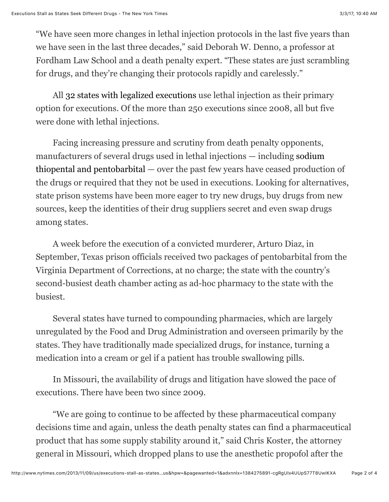"We have seen more changes in lethal injection protocols in the last five years than we have seen in the last three decades," said Deborah W. Denno, a professor at Fordham Law School and a death penalty expert. "These states are just scrambling for drugs, and they're changing their protocols rapidly and carelessly."

All [32 states with legalized executions](http://www.deathpenaltyinfo.org/states-and-without-death-penalty) use lethal injection as their primary option for executions. Of the more than 250 executions since 2008, all but five were done with lethal injections.

Facing increasing pressure and scrutiny from death penalty opponents, [manufacturers of several drugs used in lethal injections — including sodium](http://www.nytimes.com/2011/04/10/weekinreview/10injection.html) thiopental and pentobarbital — over the past few years have ceased production of the drugs or required that they not be used in executions. Looking for alternatives, state prison systems have been more eager to try new drugs, buy drugs from new sources, keep the identities of their drug suppliers secret and even swap drugs among states.

A week before the execution of a convicted murderer, Arturo Diaz, in September, Texas prison officials received two packages of pentobarbital from the Virginia Department of Corrections, at no charge; the state with the country's second-busiest death chamber acting as ad-hoc pharmacy to the state with the busiest.

Several states have turned to compounding pharmacies, which are largely unregulated by the Food and Drug Administration and overseen primarily by the states. They have traditionally made specialized drugs, for instance, turning a medication into a cream or gel if a patient has trouble swallowing pills.

In Missouri, the availability of drugs and litigation have slowed the pace of executions. There have been two since 2009.

"We are going to continue to be affected by these pharmaceutical company decisions time and again, unless the death penalty states can find a pharmaceutical product that has some supply stability around it," said Chris Koster, the attorney general in Missouri, which dropped plans to use the anesthetic propofol after the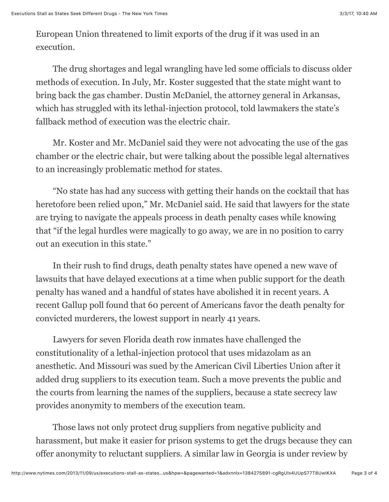European Union threatened to limit exports of the drug if it was used in an execution.

The drug shortages and legal wrangling have led some officials to discuss older methods of execution. In July, Mr. Koster suggested that the state might want to bring back the gas chamber. Dustin McDaniel, the attorney general in Arkansas, which has struggled with its lethal-injection protocol, told lawmakers the state's fallback method of execution was the electric chair.

Mr. Koster and Mr. McDaniel said they were not advocating the use of the gas chamber or the electric chair, but were talking about the possible legal alternatives to an increasingly problematic method for states.

"No state has had any success with getting their hands on the cocktail that has heretofore been relied upon," Mr. McDaniel said. He said that lawyers for the state are trying to navigate the appeals process in death penalty cases while knowing that "if the legal hurdles were magically to go away, we are in no position to carry out an execution in this state."

In their rush to find drugs, death penalty states have opened a new wave of lawsuits that have delayed executions at a time when public support for the death penalty has waned and a handful of states have abolished it in recent years. A recent Gallup poll found that 60 percent of Americans favor the death penalty for convicted murderers, the lowest support in nearly 41 years.

Lawyers for seven Florida death row inmates have challenged the constitutionality of a lethal-injection protocol that uses midazolam as an anesthetic. And Missouri was sued by the American Civil Liberties Union after it added drug suppliers to its execution team. Such a move prevents the public and the courts from learning the names of the suppliers, because a state secrecy law provides anonymity to members of the execution team.

Those laws not only protect drug suppliers from negative publicity and harassment, but make it easier for prison systems to get the drugs because they can offer anonymity to reluctant suppliers. A similar law in Georgia is under review by